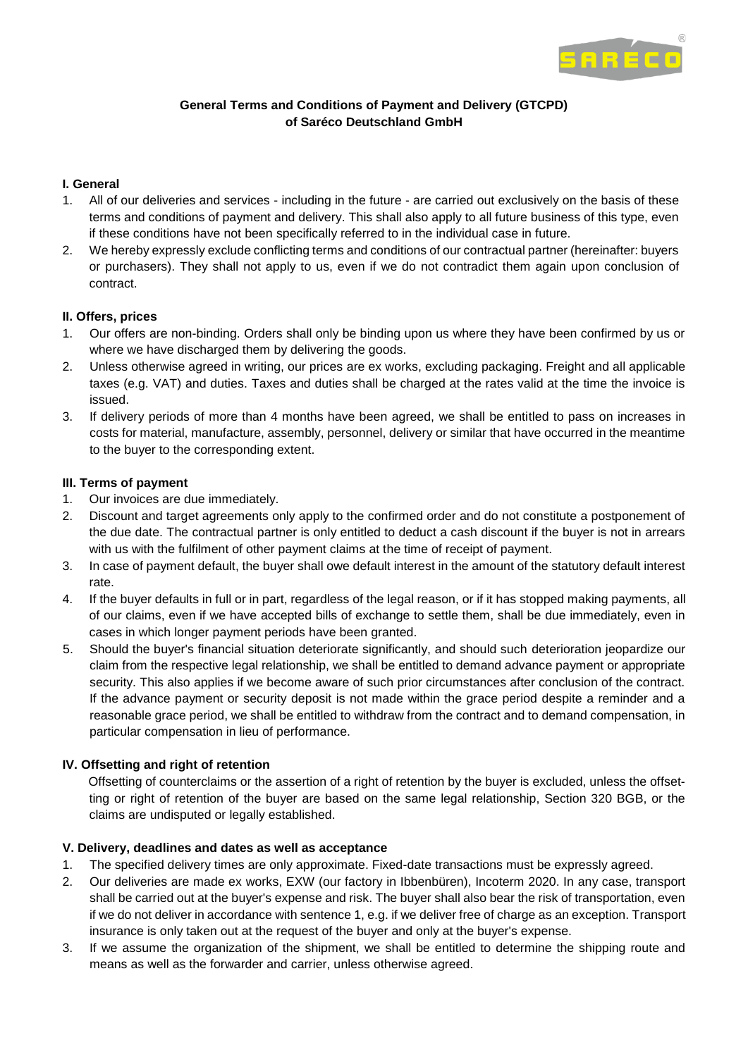

# **General Terms and Conditions of Payment and Delivery (GTCPD) of Saréco Deutschland GmbH**

# **I. General**

- 1. All of our deliveries and services including in the future are carried out exclusively on the basis of these terms and conditions of payment and delivery. This shall also apply to all future business of this type, even if these conditions have not been specifically referred to in the individual case in future.
- 2. We hereby expressly exclude conflicting terms and conditions of our contractual partner (hereinafter: buyers or purchasers). They shall not apply to us, even if we do not contradict them again upon conclusion of contract.

# **II. Offers, prices**

- 1. Our offers are non-binding. Orders shall only be binding upon us where they have been confirmed by us or where we have discharged them by delivering the goods.
- 2. Unless otherwise agreed in writing, our prices are ex works, excluding packaging. Freight and all applicable taxes (e.g. VAT) and duties. Taxes and duties shall be charged at the rates valid at the time the invoice is issued.
- 3. If delivery periods of more than 4 months have been agreed, we shall be entitled to pass on increases in costs for material, manufacture, assembly, personnel, delivery or similar that have occurred in the meantime to the buyer to the corresponding extent.

# **III. Terms of payment**

- 1. Our invoices are due immediately.
- 2. Discount and target agreements only apply to the confirmed order and do not constitute a postponement of the due date. The contractual partner is only entitled to deduct a cash discount if the buyer is not in arrears with us with the fulfilment of other payment claims at the time of receipt of payment.
- 3. In case of payment default, the buyer shall owe default interest in the amount of the statutory default interest rate.
- 4. If the buyer defaults in full or in part, regardless of the legal reason, or if it has stopped making payments, all of our claims, even if we have accepted bills of exchange to settle them, shall be due immediately, even in cases in which longer payment periods have been granted.
- 5. Should the buyer's financial situation deteriorate significantly, and should such deterioration jeopardize our claim from the respective legal relationship, we shall be entitled to demand advance payment or appropriate security. This also applies if we become aware of such prior circumstances after conclusion of the contract. If the advance payment or security deposit is not made within the grace period despite a reminder and a reasonable grace period, we shall be entitled to withdraw from the contract and to demand compensation, in particular compensation in lieu of performance.

# **IV. Offsetting and right of retention**

Offsetting of counterclaims or the assertion of a right of retention by the buyer is excluded, unless the offsetting or right of retention of the buyer are based on the same legal relationship, Section 320 BGB, or the claims are undisputed or legally established.

## **V. Delivery, deadlines and dates as well as acceptance**

- 1. The specified delivery times are only approximate. Fixed-date transactions must be expressly agreed.
- 2. Our deliveries are made ex works, EXW (our factory in Ibbenbüren), Incoterm 2020. In any case, transport shall be carried out at the buyer's expense and risk. The buyer shall also bear the risk of transportation, even if we do not deliver in accordance with sentence 1, e.g. if we deliver free of charge as an exception. Transport insurance is only taken out at the request of the buyer and only at the buyer's expense.
- 3. If we assume the organization of the shipment, we shall be entitled to determine the shipping route and means as well as the forwarder and carrier, unless otherwise agreed.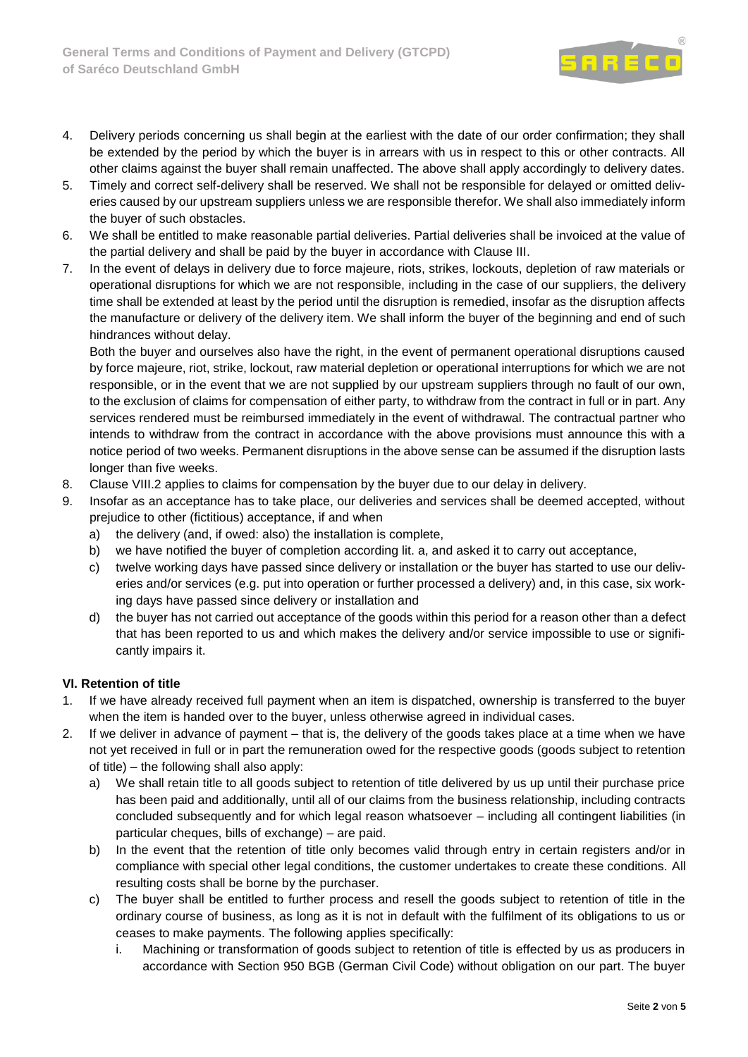

- 4. Delivery periods concerning us shall begin at the earliest with the date of our order confirmation; they shall be extended by the period by which the buyer is in arrears with us in respect to this or other contracts. All other claims against the buyer shall remain unaffected. The above shall apply accordingly to delivery dates.
- 5. Timely and correct self-delivery shall be reserved. We shall not be responsible for delayed or omitted deliveries caused by our upstream suppliers unless we are responsible therefor. We shall also immediately inform the buyer of such obstacles.
- 6. We shall be entitled to make reasonable partial deliveries. Partial deliveries shall be invoiced at the value of the partial delivery and shall be paid by the buyer in accordance with Clause III.
- 7. In the event of delays in delivery due to force majeure, riots, strikes, lockouts, depletion of raw materials or operational disruptions for which we are not responsible, including in the case of our suppliers, the delivery time shall be extended at least by the period until the disruption is remedied, insofar as the disruption affects the manufacture or delivery of the delivery item. We shall inform the buyer of the beginning and end of such hindrances without delay.

Both the buyer and ourselves also have the right, in the event of permanent operational disruptions caused by force majeure, riot, strike, lockout, raw material depletion or operational interruptions for which we are not responsible, or in the event that we are not supplied by our upstream suppliers through no fault of our own, to the exclusion of claims for compensation of either party, to withdraw from the contract in full or in part. Any services rendered must be reimbursed immediately in the event of withdrawal. The contractual partner who intends to withdraw from the contract in accordance with the above provisions must announce this with a notice period of two weeks. Permanent disruptions in the above sense can be assumed if the disruption lasts longer than five weeks.

- 8. Clause VIII.2 applies to claims for compensation by the buyer due to our delay in delivery.
- 9. Insofar as an acceptance has to take place, our deliveries and services shall be deemed accepted, without prejudice to other (fictitious) acceptance, if and when
	- a) the delivery (and, if owed: also) the installation is complete,
	- b) we have notified the buyer of completion according lit. a, and asked it to carry out acceptance,
	- c) twelve working days have passed since delivery or installation or the buyer has started to use our deliveries and/or services (e.g. put into operation or further processed a delivery) and, in this case, six working days have passed since delivery or installation and
	- d) the buyer has not carried out acceptance of the goods within this period for a reason other than a defect that has been reported to us and which makes the delivery and/or service impossible to use or significantly impairs it.

# **VI. Retention of title**

- 1. If we have already received full payment when an item is dispatched, ownership is transferred to the buyer when the item is handed over to the buyer, unless otherwise agreed in individual cases.
- 2. If we deliver in advance of payment that is, the delivery of the goods takes place at a time when we have not yet received in full or in part the remuneration owed for the respective goods (goods subject to retention of title) – the following shall also apply:
	- a) We shall retain title to all goods subject to retention of title delivered by us up until their purchase price has been paid and additionally, until all of our claims from the business relationship, including contracts concluded subsequently and for which legal reason whatsoever – including all contingent liabilities (in particular cheques, bills of exchange) – are paid.
	- b) In the event that the retention of title only becomes valid through entry in certain registers and/or in compliance with special other legal conditions, the customer undertakes to create these conditions. All resulting costs shall be borne by the purchaser.
	- c) The buyer shall be entitled to further process and resell the goods subject to retention of title in the ordinary course of business, as long as it is not in default with the fulfilment of its obligations to us or ceases to make payments. The following applies specifically:
		- i. Machining or transformation of goods subject to retention of title is effected by us as producers in accordance with Section 950 BGB (German Civil Code) without obligation on our part. The buyer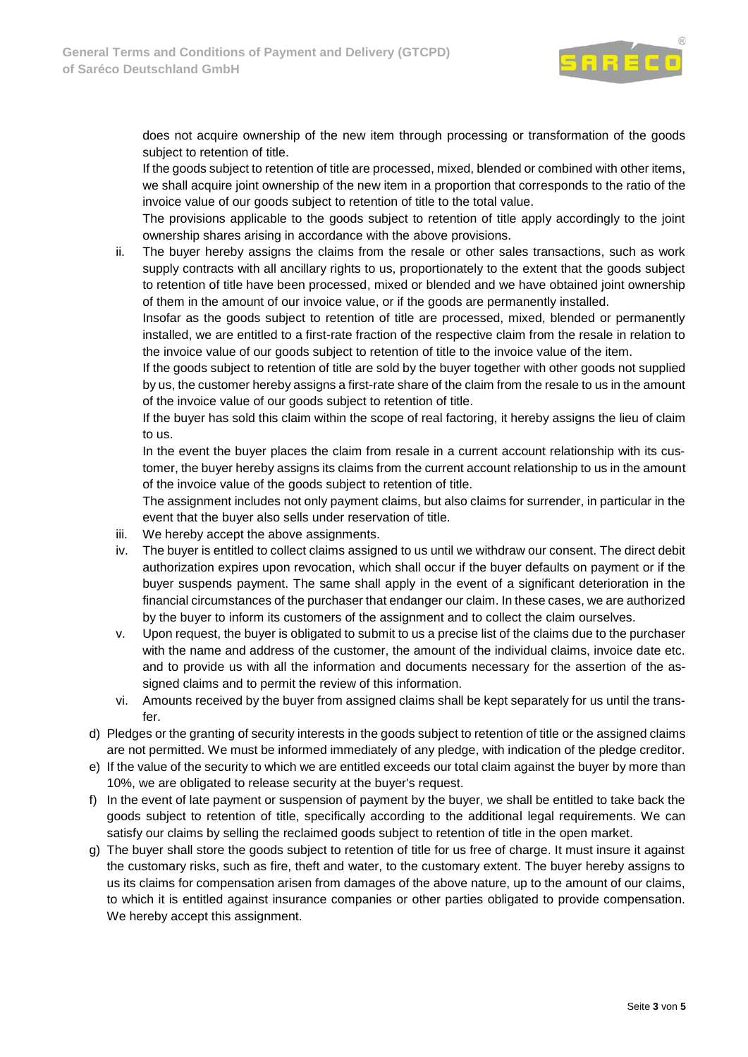

does not acquire ownership of the new item through processing or transformation of the goods subject to retention of title.

If the goods subject to retention of title are processed, mixed, blended or combined with other items, we shall acquire joint ownership of the new item in a proportion that corresponds to the ratio of the invoice value of our goods subject to retention of title to the total value.

The provisions applicable to the goods subject to retention of title apply accordingly to the joint ownership shares arising in accordance with the above provisions.

ii. The buyer hereby assigns the claims from the resale or other sales transactions, such as work supply contracts with all ancillary rights to us, proportionately to the extent that the goods subject to retention of title have been processed, mixed or blended and we have obtained joint ownership of them in the amount of our invoice value, or if the goods are permanently installed.

Insofar as the goods subject to retention of title are processed, mixed, blended or permanently installed, we are entitled to a first-rate fraction of the respective claim from the resale in relation to the invoice value of our goods subject to retention of title to the invoice value of the item.

If the goods subject to retention of title are sold by the buyer together with other goods not supplied by us, the customer hereby assigns a first-rate share of the claim from the resale to us in the amount of the invoice value of our goods subject to retention of title.

If the buyer has sold this claim within the scope of real factoring, it hereby assigns the lieu of claim to us.

In the event the buyer places the claim from resale in a current account relationship with its customer, the buyer hereby assigns its claims from the current account relationship to us in the amount of the invoice value of the goods subject to retention of title.

The assignment includes not only payment claims, but also claims for surrender, in particular in the event that the buyer also sells under reservation of title.

- iii. We hereby accept the above assignments.
- iv. The buyer is entitled to collect claims assigned to us until we withdraw our consent. The direct debit authorization expires upon revocation, which shall occur if the buyer defaults on payment or if the buyer suspends payment. The same shall apply in the event of a significant deterioration in the financial circumstances of the purchaser that endanger our claim. In these cases, we are authorized by the buyer to inform its customers of the assignment and to collect the claim ourselves.
- v. Upon request, the buyer is obligated to submit to us a precise list of the claims due to the purchaser with the name and address of the customer, the amount of the individual claims, invoice date etc. and to provide us with all the information and documents necessary for the assertion of the assigned claims and to permit the review of this information.
- vi. Amounts received by the buyer from assigned claims shall be kept separately for us until the transfer.
- d) Pledges or the granting of security interests in the goods subject to retention of title or the assigned claims are not permitted. We must be informed immediately of any pledge, with indication of the pledge creditor.
- e) If the value of the security to which we are entitled exceeds our total claim against the buyer by more than 10%, we are obligated to release security at the buyer's request.
- f) In the event of late payment or suspension of payment by the buyer, we shall be entitled to take back the goods subject to retention of title, specifically according to the additional legal requirements. We can satisfy our claims by selling the reclaimed goods subject to retention of title in the open market.
- g) The buyer shall store the goods subject to retention of title for us free of charge. It must insure it against the customary risks, such as fire, theft and water, to the customary extent. The buyer hereby assigns to us its claims for compensation arisen from damages of the above nature, up to the amount of our claims, to which it is entitled against insurance companies or other parties obligated to provide compensation. We hereby accept this assignment.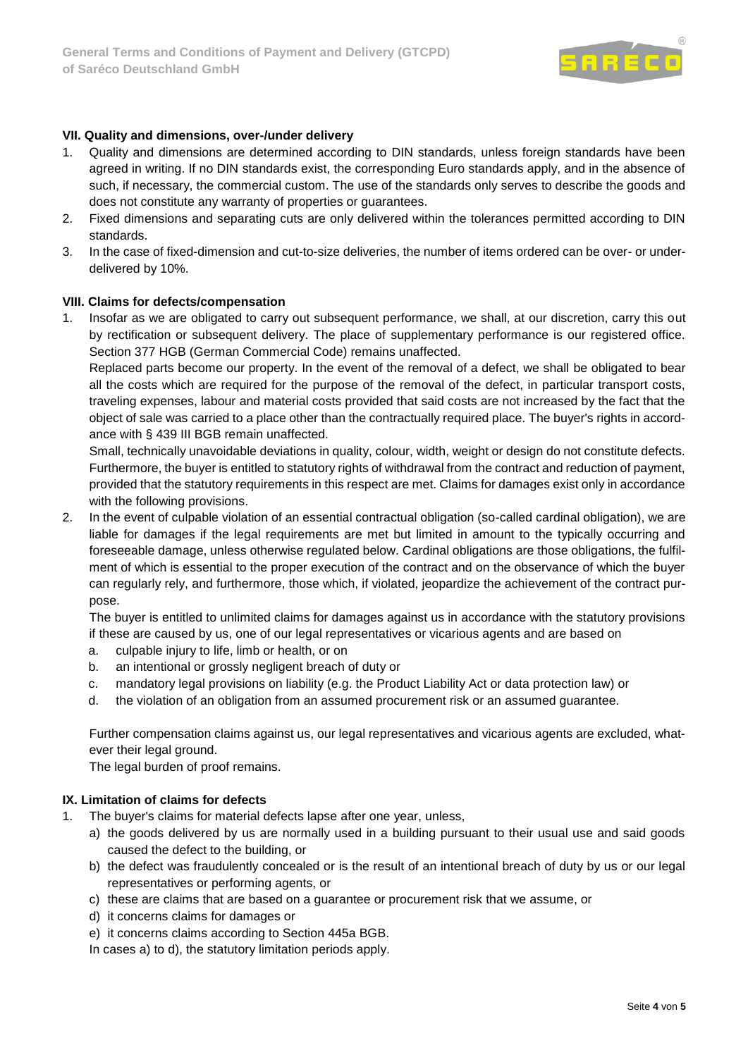

## **VII. Quality and dimensions, over-/under delivery**

- 1. Quality and dimensions are determined according to DIN standards, unless foreign standards have been agreed in writing. If no DIN standards exist, the corresponding Euro standards apply, and in the absence of such, if necessary, the commercial custom. The use of the standards only serves to describe the goods and does not constitute any warranty of properties or guarantees.
- 2. Fixed dimensions and separating cuts are only delivered within the tolerances permitted according to DIN standards.
- 3. In the case of fixed-dimension and cut-to-size deliveries, the number of items ordered can be over- or underdelivered by 10%.

#### **VIII. Claims for defects/compensation**

1. Insofar as we are obligated to carry out subsequent performance, we shall, at our discretion, carry this out by rectification or subsequent delivery. The place of supplementary performance is our registered office. Section 377 HGB (German Commercial Code) remains unaffected.

Replaced parts become our property. In the event of the removal of a defect, we shall be obligated to bear all the costs which are required for the purpose of the removal of the defect, in particular transport costs, traveling expenses, labour and material costs provided that said costs are not increased by the fact that the object of sale was carried to a place other than the contractually required place. The buyer's rights in accordance with § 439 III BGB remain unaffected.

Small, technically unavoidable deviations in quality, colour, width, weight or design do not constitute defects. Furthermore, the buyer is entitled to statutory rights of withdrawal from the contract and reduction of payment, provided that the statutory requirements in this respect are met. Claims for damages exist only in accordance with the following provisions.

2. In the event of culpable violation of an essential contractual obligation (so-called cardinal obligation), we are liable for damages if the legal requirements are met but limited in amount to the typically occurring and foreseeable damage, unless otherwise regulated below. Cardinal obligations are those obligations, the fulfilment of which is essential to the proper execution of the contract and on the observance of which the buyer can regularly rely, and furthermore, those which, if violated, jeopardize the achievement of the contract purpose.

The buyer is entitled to unlimited claims for damages against us in accordance with the statutory provisions if these are caused by us, one of our legal representatives or vicarious agents and are based on

- a. culpable injury to life, limb or health, or on
- b. an intentional or grossly negligent breach of duty or
- c. mandatory legal provisions on liability (e.g. the Product Liability Act or data protection law) or
- d. the violation of an obligation from an assumed procurement risk or an assumed guarantee.

Further compensation claims against us, our legal representatives and vicarious agents are excluded, whatever their legal ground.

The legal burden of proof remains.

## **IX. Limitation of claims for defects**

- 1. The buyer's claims for material defects lapse after one year, unless,
	- a) the goods delivered by us are normally used in a building pursuant to their usual use and said goods caused the defect to the building, or
	- b) the defect was fraudulently concealed or is the result of an intentional breach of duty by us or our legal representatives or performing agents, or
	- c) these are claims that are based on a guarantee or procurement risk that we assume, or
	- d) it concerns claims for damages or
	- e) it concerns claims according to Section 445a BGB.

In cases a) to d), the statutory limitation periods apply.